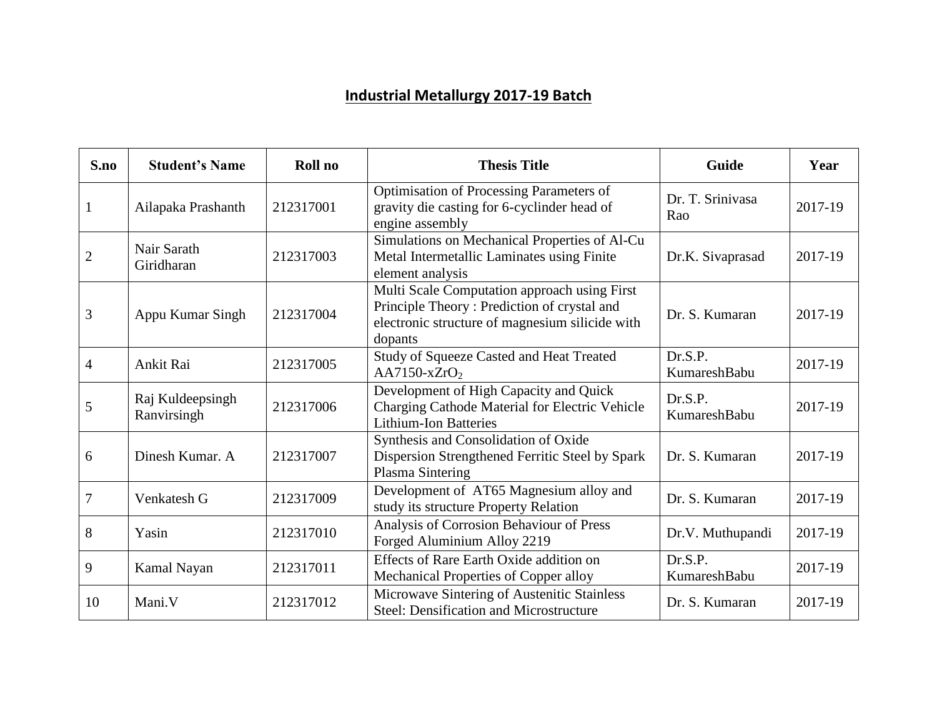## **Industrial Metallurgy 2017-19 Batch**

| S.no             | <b>Student's Name</b>           | Roll no   | <b>Thesis Title</b>                                                                                                                                       | Guide                   | Year    |
|------------------|---------------------------------|-----------|-----------------------------------------------------------------------------------------------------------------------------------------------------------|-------------------------|---------|
| $\mathbf{1}$     | Ailapaka Prashanth              | 212317001 | Optimisation of Processing Parameters of<br>gravity die casting for 6-cyclinder head of<br>engine assembly                                                | Dr. T. Srinivasa<br>Rao | 2017-19 |
| $\overline{2}$   | Nair Sarath<br>Giridharan       | 212317003 | Simulations on Mechanical Properties of Al-Cu<br>Metal Intermetallic Laminates using Finite<br>element analysis                                           | Dr.K. Sivaprasad        | 2017-19 |
| $\mathfrak{Z}$   | Appu Kumar Singh                | 212317004 | Multi Scale Computation approach using First<br>Principle Theory: Prediction of crystal and<br>electronic structure of magnesium silicide with<br>dopants | Dr. S. Kumaran          | 2017-19 |
| $\overline{4}$   | Ankit Rai                       | 212317005 | Study of Squeeze Casted and Heat Treated<br>$AA7150-xZrO2$                                                                                                | Dr.S.P.<br>KumareshBabu | 2017-19 |
| 5                | Raj Kuldeepsingh<br>Ranvirsingh | 212317006 | Development of High Capacity and Quick<br>Charging Cathode Material for Electric Vehicle<br><b>Lithium-Ion Batteries</b>                                  | Dr.S.P.<br>KumareshBabu | 2017-19 |
| 6                | Dinesh Kumar, A                 | 212317007 | Synthesis and Consolidation of Oxide<br>Dispersion Strengthened Ferritic Steel by Spark<br>Plasma Sintering                                               | Dr. S. Kumaran          | 2017-19 |
| $\boldsymbol{7}$ | Venkatesh G                     | 212317009 | Development of AT65 Magnesium alloy and<br>study its structure Property Relation                                                                          | Dr. S. Kumaran          | 2017-19 |
| 8                | Yasin                           | 212317010 | Analysis of Corrosion Behaviour of Press<br>Forged Aluminium Alloy 2219                                                                                   | Dr.V. Muthupandi        | 2017-19 |
| 9                | Kamal Nayan                     | 212317011 | Effects of Rare Earth Oxide addition on<br>Mechanical Properties of Copper alloy                                                                          | Dr.S.P.<br>KumareshBabu | 2017-19 |
| 10               | Mani.V                          | 212317012 | Microwave Sintering of Austenitic Stainless<br>Steel: Densification and Microstructure                                                                    | Dr. S. Kumaran          | 2017-19 |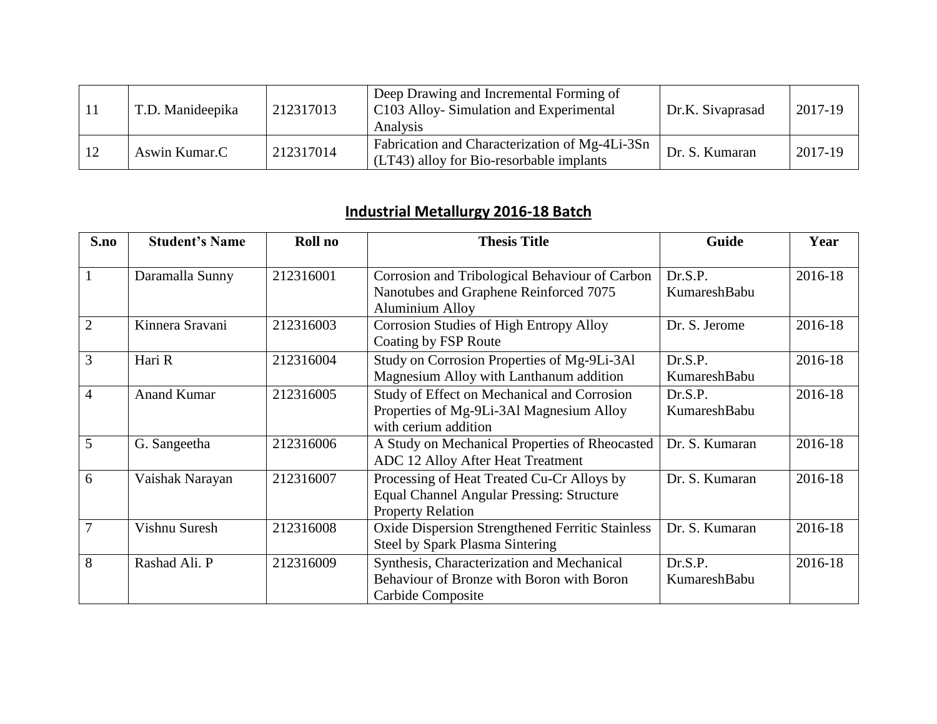|    | T.D. Manideepika | 212317013 | Deep Drawing and Incremental Forming of<br>C103 Alloy-Simulation and Experimental<br>Analysis | Dr.K. Sivaprasad | 2017-19 |
|----|------------------|-----------|-----------------------------------------------------------------------------------------------|------------------|---------|
| 12 | Aswin Kumar.C    | 212317014 | Fabrication and Characterization of Mg-4Li-3Sn<br>(LT43) alloy for Bio-resorbable implants    | Dr. S. Kumaran   | 2017-19 |

## **Industrial Metallurgy 2016-18 Batch**

| S.no           | <b>Student's Name</b> | Roll no   | <b>Thesis Title</b>                                                                                                        | Guide                   | Year    |
|----------------|-----------------------|-----------|----------------------------------------------------------------------------------------------------------------------------|-------------------------|---------|
| $\mathbf{1}$   | Daramalla Sunny       | 212316001 | Corrosion and Tribological Behaviour of Carbon<br>Nanotubes and Graphene Reinforced 7075<br><b>Aluminium Alloy</b>         | Dr.S.P.<br>KumareshBabu | 2016-18 |
| $\overline{2}$ | Kinnera Sravani       | 212316003 | Corrosion Studies of High Entropy Alloy<br>Coating by FSP Route                                                            | Dr. S. Jerome           | 2016-18 |
| 3              | Hari R                | 212316004 | Study on Corrosion Properties of Mg-9Li-3Al<br>Magnesium Alloy with Lanthanum addition                                     | Dr.S.P.<br>KumareshBabu | 2016-18 |
| $\overline{4}$ | <b>Anand Kumar</b>    | 212316005 | Study of Effect on Mechanical and Corrosion<br>Properties of Mg-9Li-3Al Magnesium Alloy<br>with cerium addition            | Dr.S.P.<br>KumareshBabu | 2016-18 |
| $\overline{5}$ | G. Sangeetha          | 212316006 | A Study on Mechanical Properties of Rheocasted<br>ADC 12 Alloy After Heat Treatment                                        | Dr. S. Kumaran          | 2016-18 |
| 6              | Vaishak Narayan       | 212316007 | Processing of Heat Treated Cu-Cr Alloys by<br><b>Equal Channel Angular Pressing: Structure</b><br><b>Property Relation</b> | Dr. S. Kumaran          | 2016-18 |
| $\overline{7}$ | Vishnu Suresh         | 212316008 | Oxide Dispersion Strengthened Ferritic Stainless<br><b>Steel by Spark Plasma Sintering</b>                                 | Dr. S. Kumaran          | 2016-18 |
| 8              | Rashad Ali. P         | 212316009 | Synthesis, Characterization and Mechanical<br>Behaviour of Bronze with Boron with Boron<br>Carbide Composite               | Dr.S.P.<br>KumareshBabu | 2016-18 |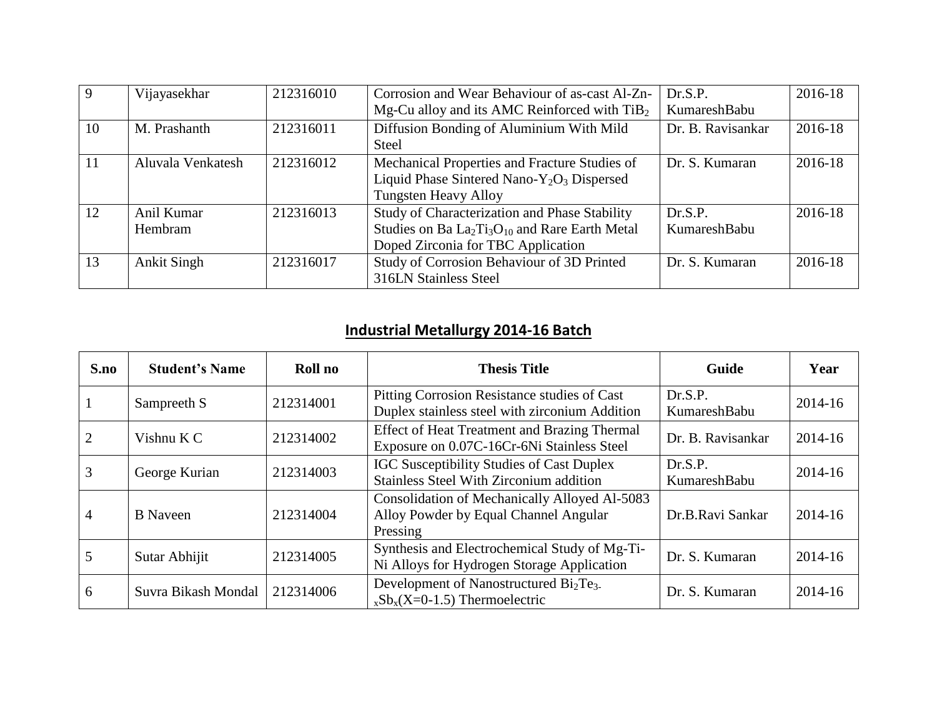|    | Vijayasekhar       | 212316010 | Corrosion and Wear Behaviour of as-cast Al-Zn-                                     | Dr.S.P.           | 2016-18 |
|----|--------------------|-----------|------------------------------------------------------------------------------------|-------------------|---------|
|    |                    |           | Mg-Cu alloy and its AMC Reinforced with $TiB2$                                     | KumareshBabu      |         |
| 10 | M. Prashanth       | 212316011 | Diffusion Bonding of Aluminium With Mild                                           | Dr. B. Ravisankar | 2016-18 |
|    |                    |           | <b>Steel</b>                                                                       |                   |         |
| 11 | Aluvala Venkatesh  | 212316012 | Mechanical Properties and Fracture Studies of                                      | Dr. S. Kumaran    | 2016-18 |
|    |                    |           | Liquid Phase Sintered Nano-Y <sub>2</sub> O <sub>3</sub> Dispersed                 |                   |         |
|    |                    |           | <b>Tungsten Heavy Alloy</b>                                                        |                   |         |
| 12 | Anil Kumar         | 212316013 | Study of Characterization and Phase Stability                                      | Dr.S.P.           | 2016-18 |
|    | Hembram            |           | Studies on Ba La <sub>2</sub> Ti <sub>3</sub> O <sub>10</sub> and Rare Earth Metal | KumareshBabu      |         |
|    |                    |           | Doped Zirconia for TBC Application                                                 |                   |         |
| 13 | <b>Ankit Singh</b> | 212316017 | Study of Corrosion Behaviour of 3D Printed                                         | Dr. S. Kumaran    | 2016-18 |
|    |                    |           | 316LN Stainless Steel                                                              |                   |         |

## **Industrial Metallurgy 2014-16 Batch**

| S.no           | <b>Student's Name</b> | Roll no   | <b>Thesis Title</b>                                                                                     | <b>Guide</b>            | Year    |
|----------------|-----------------------|-----------|---------------------------------------------------------------------------------------------------------|-------------------------|---------|
| $\mathbf{1}$   | Sampreeth S           | 212314001 | Pitting Corrosion Resistance studies of Cast<br>Duplex stainless steel with zirconium Addition          | Dr.S.P.<br>KumareshBabu | 2014-16 |
| 2              | Vishnu K C            | 212314002 | <b>Effect of Heat Treatment and Brazing Thermal</b><br>Exposure on 0.07C-16Cr-6Ni Stainless Steel       | Dr. B. Ravisankar       | 2014-16 |
| 3              | George Kurian         | 212314003 | <b>IGC Susceptibility Studies of Cast Duplex</b><br><b>Stainless Steel With Zirconium addition</b>      | Dr.S.P.<br>KumareshBabu | 2014-16 |
| $\overline{4}$ | <b>B</b> Naveen       | 212314004 | Consolidation of Mechanically Alloyed Al-5083<br>Alloy Powder by Equal Channel Angular<br>Pressing      | Dr.B.Ravi Sankar        | 2014-16 |
| 5              | Sutar Abhijit         | 212314005 | Synthesis and Electrochemical Study of Mg-Ti-<br>Ni Alloys for Hydrogen Storage Application             | Dr. S. Kumaran          | 2014-16 |
| 6              | Suvra Bikash Mondal   | 212314006 | Development of Nanostructured Bi <sub>2</sub> Te <sub>3</sub> .<br>$_{x}Sb_{x}(X=0-1.5)$ Thermoelectric | Dr. S. Kumaran          | 2014-16 |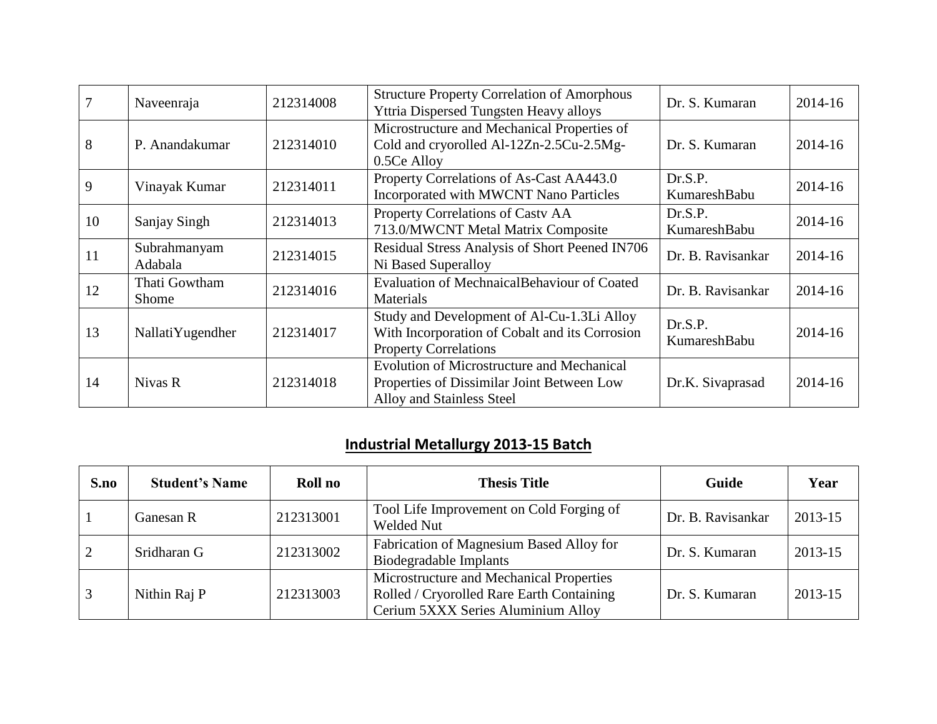| 7  | Naveenraja              | 212314008 | <b>Structure Property Correlation of Amorphous</b><br>Yttria Dispersed Tungsten Heavy alloys                                 | Dr. S. Kumaran          | 2014-16 |
|----|-------------------------|-----------|------------------------------------------------------------------------------------------------------------------------------|-------------------------|---------|
| 8  | P. Anandakumar          | 212314010 | Microstructure and Mechanical Properties of<br>Cold and cryorolled Al-12Zn-2.5Cu-2.5Mg-<br>0.5Ce Alloy                       | Dr. S. Kumaran          | 2014-16 |
| 9  | Vinayak Kumar           | 212314011 | Property Correlations of As-Cast AA443.0<br>Incorporated with MWCNT Nano Particles                                           | Dr.S.P.<br>KumareshBabu | 2014-16 |
| 10 | Sanjay Singh            | 212314013 | Property Correlations of Casty AA<br>713.0/MWCNT Metal Matrix Composite                                                      | Dr.S.P.<br>KumareshBabu | 2014-16 |
| 11 | Subrahmanyam<br>Adabala | 212314015 | Residual Stress Analysis of Short Peened IN706<br>Ni Based Superalloy                                                        | Dr. B. Ravisankar       | 2014-16 |
| 12 | Thati Gowtham<br>Shome  | 212314016 | Evaluation of MechnaicalBehaviour of Coated<br><b>Materials</b>                                                              | Dr. B. Ravisankar       | 2014-16 |
| 13 | Nallati Yugendher       | 212314017 | Study and Development of Al-Cu-1.3Li Alloy<br>With Incorporation of Cobalt and its Corrosion<br><b>Property Correlations</b> | Dr.S.P.<br>KumareshBabu | 2014-16 |
| 14 | Nivas R                 | 212314018 | <b>Evolution of Microstructure and Mechanical</b><br>Properties of Dissimilar Joint Between Low<br>Alloy and Stainless Steel | Dr.K. Sivaprasad        | 2014-16 |

## **Industrial Metallurgy 2013-15 Batch**

| S.no | <b>Student's Name</b> | Roll no   | <b>Thesis Title</b>                                                                                                         | Guide             | Year    |
|------|-----------------------|-----------|-----------------------------------------------------------------------------------------------------------------------------|-------------------|---------|
|      | Ganesan R             | 212313001 | Tool Life Improvement on Cold Forging of<br><b>Welded Nut</b>                                                               | Dr. B. Ravisankar | 2013-15 |
|      | Sridharan G           | 212313002 | Fabrication of Magnesium Based Alloy for<br>Biodegradable Implants                                                          | Dr. S. Kumaran    | 2013-15 |
| 3    | Nithin Raj P          | 212313003 | Microstructure and Mechanical Properties<br>Rolled / Cryorolled Rare Earth Containing<br>Cerium 5XXX Series Aluminium Alloy | Dr. S. Kumaran    | 2013-15 |